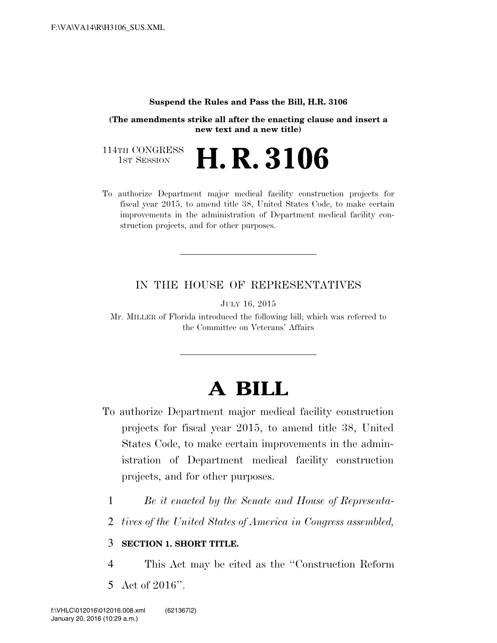#### **Suspend the Rules and Pass the Bill, H.R. 3106**

**(The amendments strike all after the enacting clause and insert a new text and a new title)**

114TH CONGRESS<br>1st Session 1ST SESSION **H. R. 3106**

To authorize Department major medical facility construction projects for fiscal year 2015, to amend title 38, United States Code, to make certain improvements in the administration of Department medical facility construction projects, and for other purposes.

### IN THE HOUSE OF REPRESENTATIVES

JULY 16, 2015

Mr. MILLER of Florida introduced the following bill; which was referred to the Committee on Veterans' Affairs

# **A BILL**

- To authorize Department major medical facility construction projects for fiscal year 2015, to amend title 38, United States Code, to make certain improvements in the administration of Department medical facility construction projects, and for other purposes.
	- 1 *Be it enacted by the Senate and House of Representa-*
	- 2 *tives of the United States of America in Congress assembled,*

### 3 **SECTION 1. SHORT TITLE.**

- 4 This Act may be cited as the ''Construction Reform
- 5 Act of 2016''.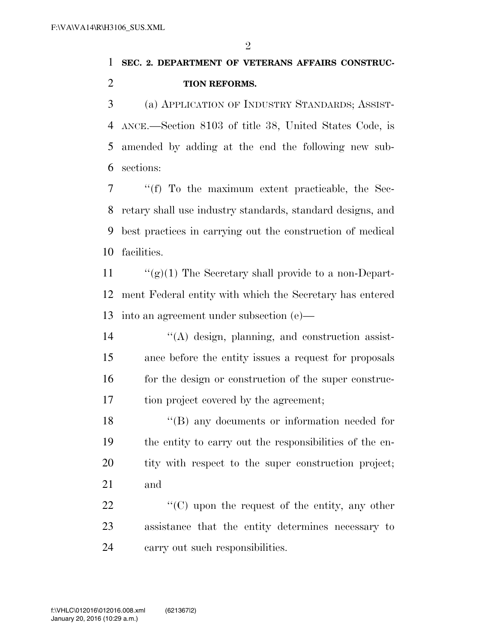$\mathfrak{D}$ 

### **SEC. 2. DEPARTMENT OF VETERANS AFFAIRS CONSTRUC-TION REFORMS.**

 (a) APPLICATION OF INDUSTRY STANDARDS; ASSIST- ANCE.—Section 8103 of title 38, United States Code, is amended by adding at the end the following new sub-sections:

 ''(f) To the maximum extent practicable, the Sec- retary shall use industry standards, standard designs, and best practices in carrying out the construction of medical facilities.

11  $\frac{u'(g)}{1}$  The Secretary shall provide to a non-Depart- ment Federal entity with which the Secretary has entered into an agreement under subsection (e)—

 $\langle A \rangle$  design, planning, and construction assist- ance before the entity issues a request for proposals 16 for the design or construction of the super construc-tion project covered by the agreement;

18 ''(B) any documents or information needed for the entity to carry out the responsibilities of the en- tity with respect to the super construction project; and

22  $\langle ^{\prime}(C) \rangle$  upon the request of the entity, any other assistance that the entity determines necessary to carry out such responsibilities.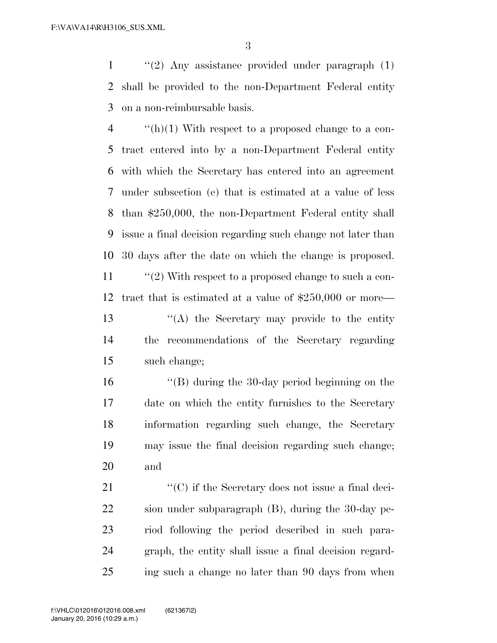''(2) Any assistance provided under paragraph (1) shall be provided to the non-Department Federal entity on a non-reimbursable basis.

 $\frac{4}{2}$  ''(h)(1) With respect to a proposed change to a con- tract entered into by a non-Department Federal entity with which the Secretary has entered into an agreement under subsection (e) that is estimated at a value of less than \$250,000, the non-Department Federal entity shall issue a final decision regarding such change not later than 30 days after the date on which the change is proposed.

11 ''(2) With respect to a proposed change to such a con- tract that is estimated at a value of \$250,000 or more— ''(A) the Secretary may provide to the entity

 the recommendations of the Secretary regarding such change;

 ''(B) during the 30-day period beginning on the date on which the entity furnishes to the Secretary information regarding such change, the Secretary may issue the final decision regarding such change; and

 $\langle ^{\prime}(C)$  if the Secretary does not issue a final deci- sion under subparagraph (B), during the 30-day pe- riod following the period described in such para- graph, the entity shall issue a final decision regard-ing such a change no later than 90 days from when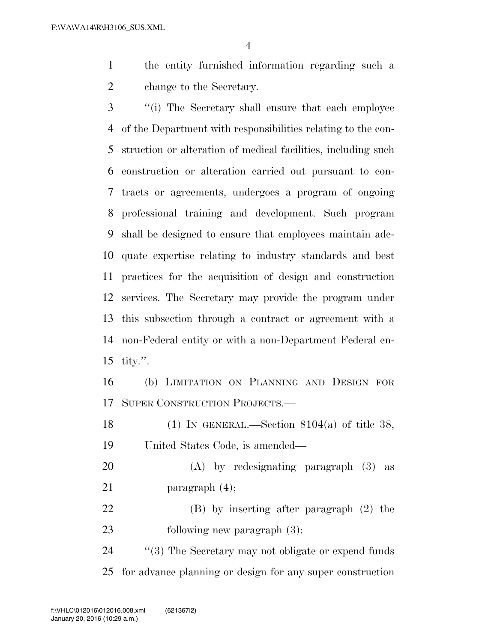the entity furnished information regarding such a change to the Secretary.

 ''(i) The Secretary shall ensure that each employee of the Department with responsibilities relating to the con- struction or alteration of medical facilities, including such construction or alteration carried out pursuant to con- tracts or agreements, undergoes a program of ongoing professional training and development. Such program shall be designed to ensure that employees maintain ade- quate expertise relating to industry standards and best practices for the acquisition of design and construction services. The Secretary may provide the program under this subsection through a contract or agreement with a non-Federal entity or with a non-Department Federal en-tity.''.

 (b) LIMITATION ON PLANNING AND DESIGN FOR SUPER CONSTRUCTION PROJECTS.—

18 (1) IN GENERAL.—Section  $8104(a)$  of title 38, United States Code, is amended—

 (A) by redesignating paragraph (3) as 21 paragraph  $(4)$ ;

 (B) by inserting after paragraph (2) the following new paragraph (3):

24  $\frac{1}{2}$  (3) The Secretary may not obligate or expend funds for advance planning or design for any super construction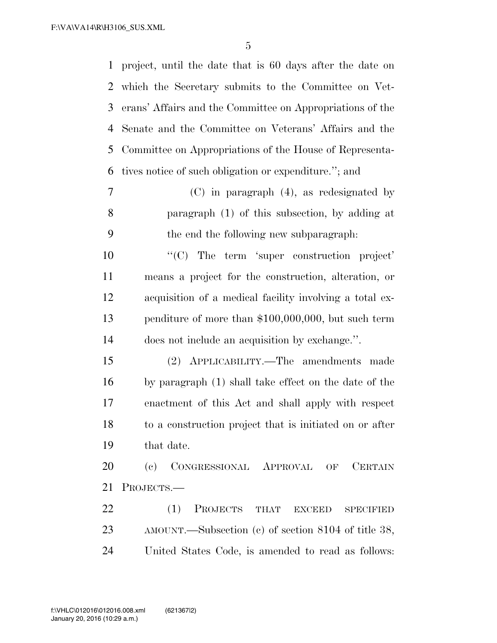project, until the date that is 60 days after the date on which the Secretary submits to the Committee on Vet- erans' Affairs and the Committee on Appropriations of the Senate and the Committee on Veterans' Affairs and the Committee on Appropriations of the House of Representa-tives notice of such obligation or expenditure.''; and

 (C) in paragraph (4), as redesignated by paragraph (1) of this subsection, by adding at the end the following new subparagraph:

 $\langle ^{\prime}(C) \rangle$  The term 'super construction project' means a project for the construction, alteration, or acquisition of a medical facility involving a total ex- penditure of more than \$100,000,000, but such term does not include an acquisition by exchange.''.

 (2) APPLICABILITY.—The amendments made by paragraph (1) shall take effect on the date of the enactment of this Act and shall apply with respect to a construction project that is initiated on or after that date.

 (c) CONGRESSIONAL APPROVAL OF CERTAIN PROJECTS.—

22 (1) PROJECTS THAT EXCEED SPECIFIED AMOUNT.—Subsection (c) of section 8104 of title 38, United States Code, is amended to read as follows: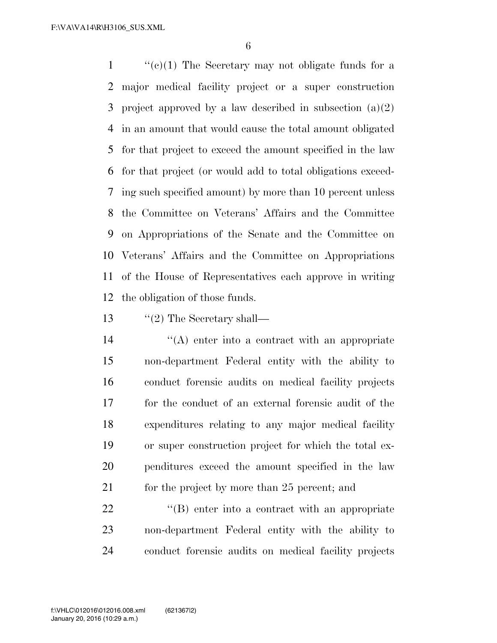$\langle \langle \cdot | (e) (1) \rangle \rangle$  The Secretary may not obligate funds for a major medical facility project or a super construction 3 project approved by a law described in subsection  $(a)(2)$  in an amount that would cause the total amount obligated for that project to exceed the amount specified in the law for that project (or would add to total obligations exceed- ing such specified amount) by more than 10 percent unless the Committee on Veterans' Affairs and the Committee on Appropriations of the Senate and the Committee on Veterans' Affairs and the Committee on Appropriations of the House of Representatives each approve in writing the obligation of those funds.

13 "(2) The Secretary shall—

 ''(A) enter into a contract with an appropriate non-department Federal entity with the ability to conduct forensic audits on medical facility projects for the conduct of an external forensic audit of the expenditures relating to any major medical facility or super construction project for which the total ex- penditures exceed the amount specified in the law 21 for the project by more than 25 percent; and

22 ''(B) enter into a contract with an appropriate non-department Federal entity with the ability to conduct forensic audits on medical facility projects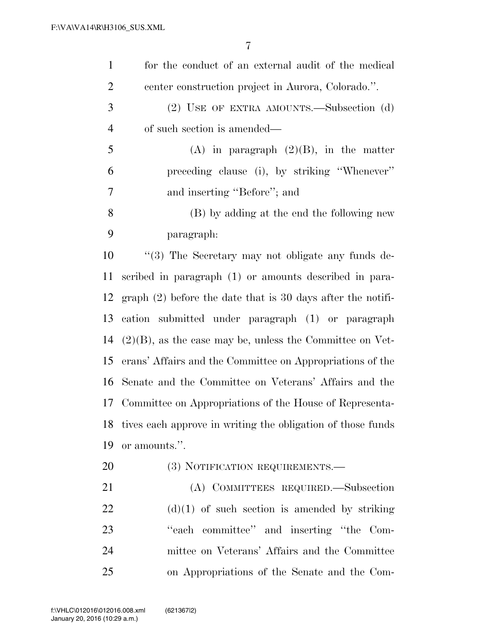| $\mathbf{1}$   | for the conduct of an external audit of the medical           |
|----------------|---------------------------------------------------------------|
| $\overline{2}$ | center construction project in Aurora, Colorado.".            |
| 3              | (2) USE OF EXTRA AMOUNTS.—Subsection (d)                      |
| $\overline{4}$ | of such section is amended—                                   |
| 5              | (A) in paragraph $(2)(B)$ , in the matter                     |
| 6              | preceding clause (i), by striking "Whenever"                  |
| 7              | and inserting "Before"; and                                   |
| 8              | (B) by adding at the end the following new                    |
| 9              | paragraph:                                                    |
| 10             | $\lq(3)$ The Secretary may not obligate any funds de-         |
| 11             | scribed in paragraph (1) or amounts described in para-        |
| 12             | graph $(2)$ before the date that is 30 days after the notifi- |
| 13             | cation submitted under paragraph (1) or paragraph             |
| 14             | $(2)(B)$ , as the case may be, unless the Committee on Vet-   |
| 15             | erans' Affairs and the Committee on Appropriations of the     |
| 16             | Senate and the Committee on Veterans' Affairs and the         |
|                | 17 Committee on Appropriations of the House of Representa-    |
| 18             | tives each approve in writing the obligation of those funds   |
| 19             | or amounts.".                                                 |
| 20             | (3) NOTIFICATION REQUIREMENTS.—                               |
| 21             | (A) COMMITTEES REQUIRED.—Subsection                           |
| 22             | $(d)(1)$ of such section is amended by striking               |
| 23             | "each committee" and inserting "the Com-                      |
| 24             | mittee on Veterans' Affairs and the Committee                 |
| 25             | on Appropriations of the Senate and the Com-                  |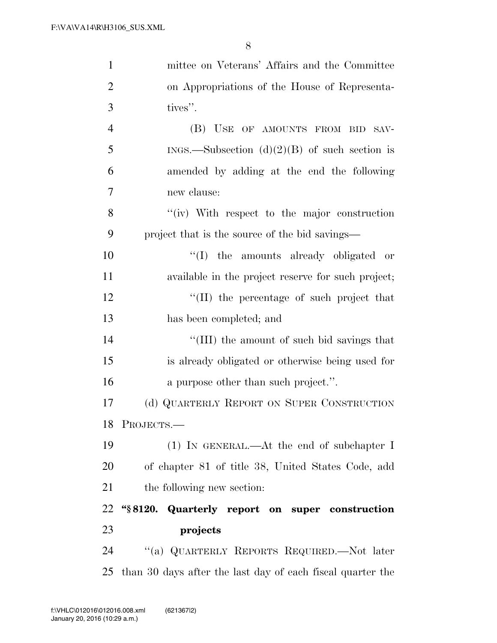| $\mathbf{1}$   | mittee on Veterans' Affairs and the Committee              |
|----------------|------------------------------------------------------------|
| $\overline{2}$ | on Appropriations of the House of Representa-              |
| 3              | tives".                                                    |
| $\overline{4}$ | (B) USE OF AMOUNTS FROM BID SAV-                           |
| 5              | INGS.—Subsection $(d)(2)(B)$ of such section is            |
| 6              | amended by adding at the end the following                 |
| 7              | new clause:                                                |
| 8              | "(iv) With respect to the major construction               |
| 9              | project that is the source of the bid savings—             |
| 10             | "(I) the amounts already obligated or                      |
| 11             | available in the project reserve for such project;         |
| 12             | "(II) the percentage of such project that                  |
| 13             | has been completed; and                                    |
| 14             | "(III) the amount of such bid savings that                 |
| 15             | is already obligated or otherwise being used for           |
| 16             | a purpose other than such project.".                       |
| 17             | (d) QUARTERLY REPORT ON SUPER CONSTRUCTION                 |
|                | 18 PROJECTS.-                                              |
| 19             | $(1)$ IN GENERAL.—At the end of subchapter I               |
| 20             | of chapter 81 of title 38, United States Code, add         |
| 21             | the following new section:                                 |
| 22             | "§8120. Quarterly report on super construction             |
| 23             | projects                                                   |
| 24             | "(a) QUARTERLY REPORTS REQUIRED.—Not later                 |
| 25             | than 30 days after the last day of each fiscal quarter the |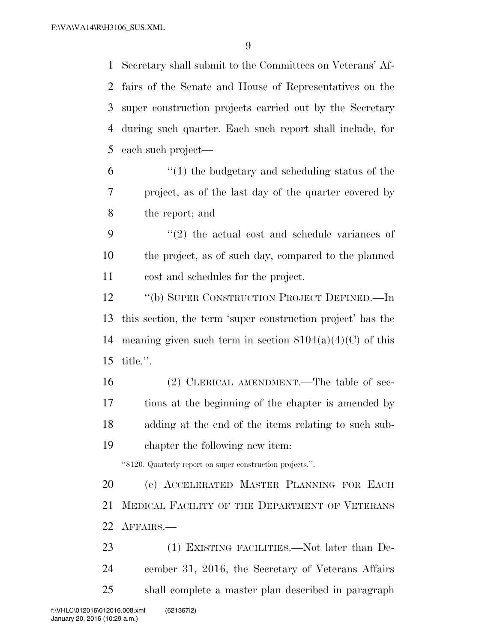Secretary shall submit to the Committees on Veterans' Af- fairs of the Senate and House of Representatives on the super construction projects carried out by the Secretary during such quarter. Each such report shall include, for each such project—

 $(1)$  the budgetary and scheduling status of the project, as of the last day of the quarter covered by the report; and

 ''(2) the actual cost and schedule variances of the project, as of such day, compared to the planned cost and schedules for the project.

 ''(b) SUPER CONSTRUCTION PROJECT DEFINED.—In this section, the term 'super construction project' has the 14 meaning given such term in section  $8104(a)(4)(C)$  of this title.''.

 (2) CLERICAL AMENDMENT.—The table of sec- tions at the beginning of the chapter is amended by adding at the end of the items relating to such sub-chapter the following new item:

''8120. Quarterly report on super construction projects.''.

 (e) ACCELERATED MASTER PLANNING FOR EACH MEDICAL FACILITY OF THE DEPARTMENT OF VETERANS AFFAIRS.—

23 (1) EXISTING FACILITIES.—Not later than De- cember 31, 2016, the Secretary of Veterans Affairs shall complete a master plan described in paragraph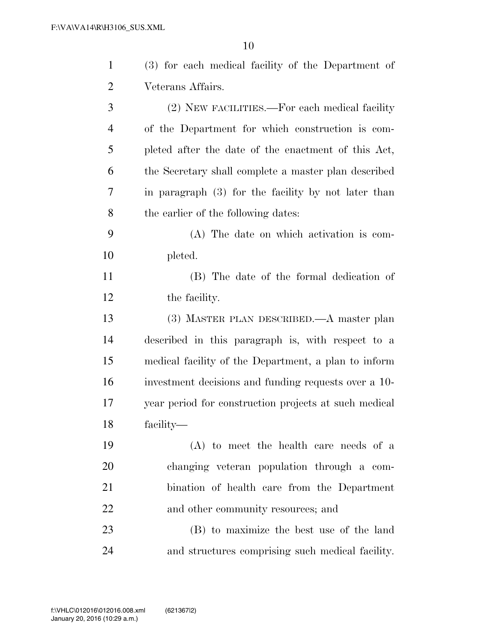| $\mathbf{1}$   | (3) for each medical facility of the Department of    |
|----------------|-------------------------------------------------------|
| $\overline{2}$ | Veterans Affairs.                                     |
| 3              | (2) NEW FACILITIES.—For each medical facility         |
| $\overline{4}$ | of the Department for which construction is com-      |
| 5              | pleted after the date of the enactment of this Act,   |
| 6              | the Secretary shall complete a master plan described  |
| 7              | in paragraph $(3)$ for the facility by not later than |
| 8              | the earlier of the following dates:                   |
| 9              | (A) The date on which activation is com-              |
| 10             | pleted.                                               |
| 11             | (B) The date of the formal dedication of              |
| 12             | the facility.                                         |
| 13             | (3) MASTER PLAN DESCRIBED.—A master plan              |
| 14             | described in this paragraph is, with respect to a     |
| 15             | medical facility of the Department, a plan to inform  |
| 16             | investment decisions and funding requests over a 10-  |
| 17             | year period for construction projects at such medical |
| 18             | facility—                                             |
| 19             | $(A)$ to meet the health care needs of a              |
| 20             | changing veteran population through a com-            |
| 21             | bination of health care from the Department           |
| 22             | and other community resources; and                    |
| 23             | (B) to maximize the best use of the land              |
| 24             | and structures comprising such medical facility.      |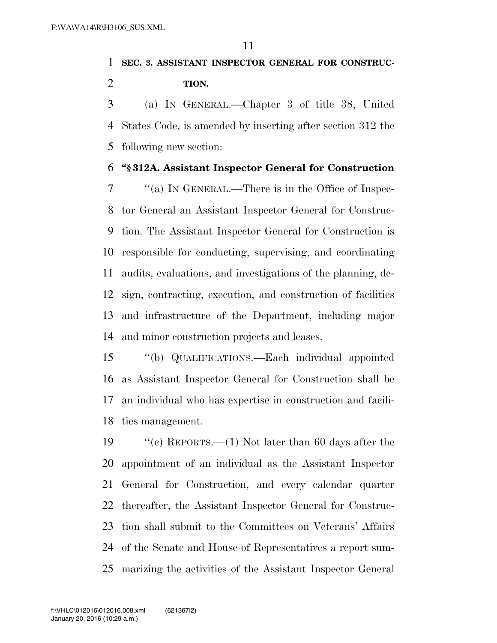## **SEC. 3. ASSISTANT INSPECTOR GENERAL FOR CONSTRUC-TION.**

 (a) IN GENERAL.—Chapter 3 of title 38, United States Code, is amended by inserting after section 312 the following new section:

#### **''§ 312A. Assistant Inspector General for Construction**

 ''(a) IN GENERAL.—There is in the Office of Inspec- tor General an Assistant Inspector General for Construc- tion. The Assistant Inspector General for Construction is responsible for conducting, supervising, and coordinating audits, evaluations, and investigations of the planning, de- sign, contracting, execution, and construction of facilities and infrastructure of the Department, including major and minor construction projects and leases.

 ''(b) QUALIFICATIONS.—Each individual appointed as Assistant Inspector General for Construction shall be an individual who has expertise in construction and facili-ties management.

 ''(c) REPORTS.—(1) Not later than 60 days after the appointment of an individual as the Assistant Inspector General for Construction, and every calendar quarter thereafter, the Assistant Inspector General for Construc- tion shall submit to the Committees on Veterans' Affairs of the Senate and House of Representatives a report sum-marizing the activities of the Assistant Inspector General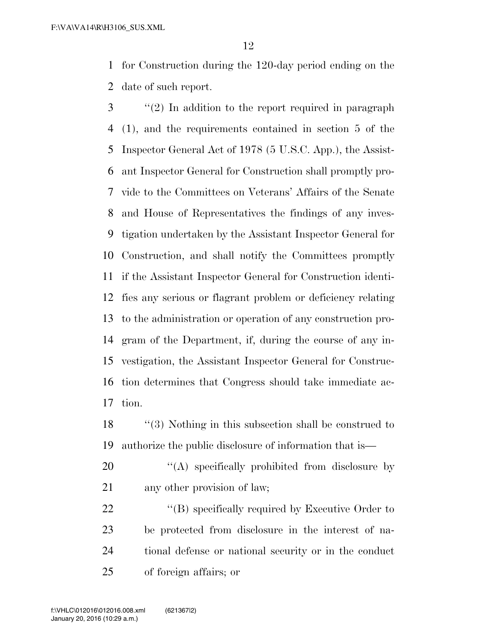for Construction during the 120-day period ending on the date of such report.

- ''(2) In addition to the report required in paragraph (1), and the requirements contained in section 5 of the Inspector General Act of 1978 (5 U.S.C. App.), the Assist- ant Inspector General for Construction shall promptly pro- vide to the Committees on Veterans' Affairs of the Senate and House of Representatives the findings of any inves- tigation undertaken by the Assistant Inspector General for Construction, and shall notify the Committees promptly if the Assistant Inspector General for Construction identi- fies any serious or flagrant problem or deficiency relating to the administration or operation of any construction pro- gram of the Department, if, during the course of any in- vestigation, the Assistant Inspector General for Construc- tion determines that Congress should take immediate ac-tion.
- ''(3) Nothing in this subsection shall be construed to authorize the public disclosure of information that is—
- 20  $\langle (A)$  specifically prohibited from disclosure by 21 any other provision of law;
- 22 "(B) specifically required by Executive Order to be protected from disclosure in the interest of na- tional defense or national security or in the conduct of foreign affairs; or